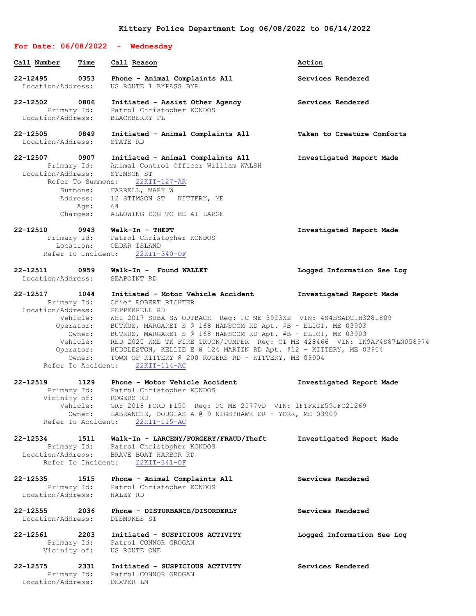# **For Date: 06/08/2022 - Wednesday Call Number Time Call Reason Action 22-12495 0353 Phone - Animal Complaints All Services Rendered** Location/Address: US ROUTE 1 BYPASS BYP **22-12502 0806 Initiated - Assist Other Agency Services Rendered** Primary Id: Patrol Christopher KONDOS Location/Address: BLACKBERRY PL **22-12505 0849 Initiated - Animal Complaints All Taken to Creature Comforts** Location/Address: STATE RD **22-12507 0907 Initiated - Animal Complaints All Investigated Report Made** Primary Id: Animal Control Officer William WALSH Location/Address: STIMSON ST Refer To Summons: 22KIT-127-AR Summons: FARRELL, MARK W Address: 12 STIMSON ST KITTERY, ME Age: 64 Charges: ALLOWING DOG TO BE AT LARGE **22-12510 0943 Walk-In - THEFT Investigated Report Made** Primary Id: Patrol Christopher KONDOS Location: CEDAR ISLAND Refer To Incident: 22KIT-340-OF **22-12511 0959 Walk-In - Found WALLET Logged Information See Log** Location/Address: **22-12517 1044 Initiated - Motor Vehicle Accident Investigated Report Made** Primary Id: Chief ROBERT RICHTER Location/Address: PEPPERRELL RD Vehicle: WHI 2017 SUBA SW OUTBACK Reg: PC ME 3923XZ VIN: 4S4BSADC1H3281809 Operator: BUTKUS, MARGARET S @ 168 HANSCOM RD Apt. #B - ELIOT, ME 03903 Owner: BUTKUS, MARGARET S @ 168 HANSCOM RD Apt. #B - ELIOT, ME 03903 Vehicle: RED 2020 KME TK FIRE TRUCK/PUMPER Reg: CI ME 428466 VIN: 1K9AF4S87LN058974 Operator: HUDDLESTON, KELLIE E @ 124 MARTIN RD Apt. #12 - KITTERY, ME 03904 Owner: TOWN OF KITTERY @ 200 ROGERS RD - KITTERY, ME 03904 Refer To Accident: 22KIT-114-AC **22-12519 1129 Phone - Motor Vehicle Accident Investigated Report Made** Primary Id: Patrol Christopher KONDOS Vicinity of: ROGERS RD Vehicle: GRY 2018 FORD F150 Reg: PC ME 2577VD VIN: 1FTFX1E59JFC21269 Owner: LABRANCHE, DOUGLAS A @ 9 NIGHTHAWK DR - YORK, ME 03909 Refer To Accident: 22KIT-115-AC **22-12534 1511 Walk-In - LARCENY/FORGERY/FRAUD/Theft Investigated Report Made** Primary Id: Patrol Christopher KONDOS Location/Address: BRAVE BOAT HARBOR RD Refer To Incident: 22KIT-341-OF **22-12535 1515 Phone - Animal Complaints All Services Rendered** Primary Id: Patrol Christopher KONDOS Location/Address: HALEY RD **22-12555 2036 Phone - DISTURBANCE/DISORDERLY Services Rendered** Location/Address: DISMUKES ST **22-12561 2203 Initiated - SUSPICIOUS ACTIVITY Logged Information See Log** Primary Id: Patrol CONNOR GROGAN Vicinity of: US ROUTE ONE

#### **22-12575 2331 Initiated - SUSPICIOUS ACTIVITY Services Rendered** Primary Id: Patrol CONNOR GROGAN Location/Address: DEXTER LN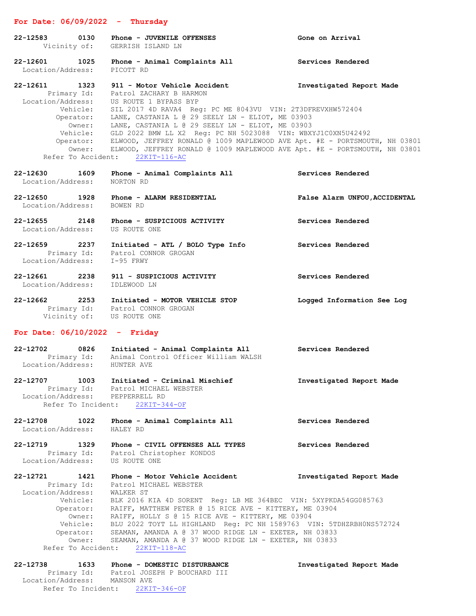# **For Date: 06/09/2022 - Thursday**

| $22 - 12583$<br>0130                                                                                                                | Phone - JUVENILE OFFENSES<br>Vicinity of: GERRISH ISLAND LN                                                                                                                                                                                                                                                                                                                                                                                                                                                                                                                                 | Gone on Arrival               |
|-------------------------------------------------------------------------------------------------------------------------------------|---------------------------------------------------------------------------------------------------------------------------------------------------------------------------------------------------------------------------------------------------------------------------------------------------------------------------------------------------------------------------------------------------------------------------------------------------------------------------------------------------------------------------------------------------------------------------------------------|-------------------------------|
| Location/Address:                                                                                                                   | 22-12601 1025 Phone - Animal Complaints All<br>PICOTT RD                                                                                                                                                                                                                                                                                                                                                                                                                                                                                                                                    | Services Rendered             |
| 22-12611 1323<br>Primary Id:                                                                                                        | 911 - Motor Vehicle Accident<br>Patrol ZACHARY B HARMON<br>Location/Address: US ROUTE 1 BYPASS BYP<br>Vehicle: SIL 2017 4D RAVA4 Reg: PC ME 8043VU VIN: 2T3DFREVXHW572404<br>Operator: LANE, CASTANIA L @ 29 SEELY LN - ELIOT, ME 03903<br>Owner: LANE, CASTANIA L @ 29 SEELY LN - ELIOT, ME 03903<br>Vehicle: GLD 2022 BMW LL X2 Reg: PC NH 5023088 VIN: WBXYJ1C0XN5U42492<br>Operator: ELWOOD, JEFFREY RONALD @ 1009 MAPLEWOOD AVE Apt. #E - PORTSMOUTH, NH 03801<br>Owner: ELWOOD, JEFFREY RONALD @ 1009 MAPLEWOOD AVE Apt. #E - PORTSMOUTH, NH 03801<br>Refer To Accident: 22KIT-116-AC | Investigated Report Made      |
| 22-12630 1609<br>Location/Address:                                                                                                  | Phone - Animal Complaints All<br>NORTON RD                                                                                                                                                                                                                                                                                                                                                                                                                                                                                                                                                  | Services Rendered             |
| Location/Address:                                                                                                                   | 22-12650 1928 Phone - ALARM RESIDENTIAL<br>BOWEN RD                                                                                                                                                                                                                                                                                                                                                                                                                                                                                                                                         | False Alarm UNFOU, ACCIDENTAL |
| Location/Address: US ROUTE ONE                                                                                                      | 22-12655 2148 Phone - SUSPICIOUS ACTIVITY                                                                                                                                                                                                                                                                                                                                                                                                                                                                                                                                                   | Services Rendered             |
| Location/Address: I-95 FRWY                                                                                                         | 22-12659 2237 Initiated - ATL / BOLO Type Info<br>Primary Id: Patrol CONNOR GROGAN                                                                                                                                                                                                                                                                                                                                                                                                                                                                                                          | Services Rendered             |
| Location/Address:                                                                                                                   | 22-12661 2238 911 - SUSPICIOUS ACTIVITY<br>IDLEWOOD LN                                                                                                                                                                                                                                                                                                                                                                                                                                                                                                                                      | Services Rendered             |
| Vicinity of: US ROUTE ONE                                                                                                           | 22-12662 2253 Initiated - MOTOR VEHICLE STOP<br>Primary Id: Patrol CONNOR GROGAN                                                                                                                                                                                                                                                                                                                                                                                                                                                                                                            | Logged Information See Log    |
| For Date: $06/10/2022 -$ Friday                                                                                                     |                                                                                                                                                                                                                                                                                                                                                                                                                                                                                                                                                                                             |                               |
| 22-12702 0826<br>Location/Address: HUNTER AVE                                                                                       | Initiated - Animal Complaints All<br>Primary Id: Animal Control Officer William WALSH                                                                                                                                                                                                                                                                                                                                                                                                                                                                                                       | Services Rendered             |
| 22-12707<br>1003<br>Location/Address: PEPPERRELL RD<br>Refer To Incident:                                                           | Initiated - Criminal Mischief<br>Primary Id: Patrol MICHAEL WEBSTER<br>$22KIT-344-OF$                                                                                                                                                                                                                                                                                                                                                                                                                                                                                                       | Investigated Report Made      |
| 22-12708 1022<br>Location/Address:                                                                                                  | Phone - Animal Complaints All<br>HALEY RD                                                                                                                                                                                                                                                                                                                                                                                                                                                                                                                                                   | Services Rendered             |
| 22-12719 1329<br>Primary Id:<br>Location/Address:                                                                                   | Phone - CIVIL OFFENSES ALL TYPES<br>Patrol Christopher KONDOS<br>US ROUTE ONE                                                                                                                                                                                                                                                                                                                                                                                                                                                                                                               | Services Rendered             |
| 22-12721<br>1421<br>Primary Id:<br>Location/Address:<br>Vehicle:<br>Owner:<br>Vehicle:<br>Operator:<br>Owner:<br>Refer To Accident: | Phone - Motor Vehicle Accident<br>Patrol MICHAEL WEBSTER<br>WALKER ST<br>BLK 2016 KIA 4D SORENT Reg: LB ME 364BEC VIN: 5XYPKDA54GG085763<br>Operator: RAIFF, MATTHEW PETER @ 15 RICE AVE - KITTERY, ME 03904<br>RAIFF, HOLLY S @ 15 RICE AVE - KITTERY, ME 03904<br>BLU 2022 TOYT LL HIGHLAND Reg: PC NH 1589763 VIN: 5TDHZRBH0NS572724<br>SEAMAN, AMANDA A @ 37 WOOD RIDGE LN - EXETER, NH 03833<br>SEAMAN, AMANDA A @ 37 WOOD RIDGE LN - EXETER, NH 03833<br>$22KIT-118-AC$                                                                                                               | Investigated Report Made      |
| 22-12738<br>1633                                                                                                                    | Phone - DOMESTIC DISTURBANCE                                                                                                                                                                                                                                                                                                                                                                                                                                                                                                                                                                | Investigated Report Made      |

| 22-12138          | 10.3.3 |            |                                 | PRODUCTIC DISTURBANCE        |  |
|-------------------|--------|------------|---------------------------------|------------------------------|--|
| Primary Id:       |        |            |                                 | Patrol JOSEPH P BOUCHARD III |  |
| Location/Address: |        | MANSON AVE |                                 |                              |  |
|                   |        |            | Refer To Incident: 22KIT-346-OF |                              |  |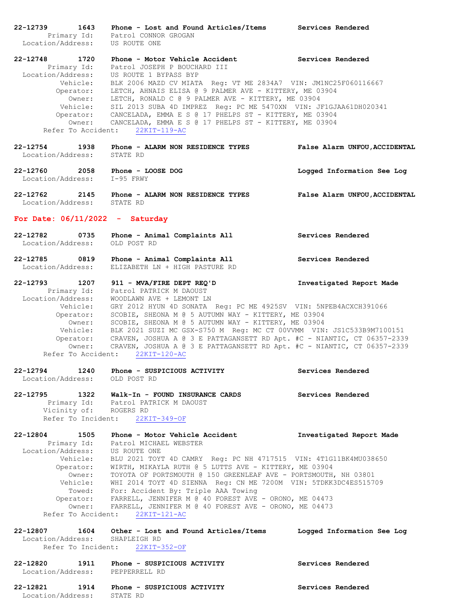**22-12739 1643 Phone - Lost and Found Articles/Items Services Rendered** Primary Id: Patrol CONNOR GROGAN Location/Address: US ROUTE ONE **22-12748 1720 Phone - Motor Vehicle Accident Services Rendered** Primary Id: Patrol JOSEPH P BOUCHARD III Location/Address: US ROUTE 1 BYPASS BYP Vehicle: BLK 2006 MAZD CV MIATA Reg: VT ME 2834A7 VIN: JM1NC25F060116667 Operator: LETCH, AHNAIS ELISA @ 9 PALMER AVE - KITTERY, ME 03904 Owner: LETCH, RONALD C @ 9 PALMER AVE - KITTERY, ME 03904 Vehicle: SIL 2013 SUBA 4D IMPREZ Reg: PC ME 5470XN VIN: JF1GJAA61DH020341 Operator: CANCELADA, EMMA E S @ 17 PHELPS ST - KITTERY, ME 03904 Owner: CANCELADA, EMMA E S @ 17 PHELPS ST - KITTERY, ME 03904 Refer To Accident: 22KIT-119-AC **22-12754 1938 Phone - ALARM NON RESIDENCE TYPES False Alarm UNFOU,ACCIDENTAL** Location/Address: **22-12760 2058 Phone - LOOSE DOG Logged Information See Log** Location/Address: I-95 FRWY **22-12762 2145 Phone - ALARM NON RESIDENCE TYPES False Alarm UNFOU,ACCIDENTAL** Location/Address: STATE RD **For Date: 06/11/2022 - Saturday 22-12782 0735 Phone - Animal Complaints All Services Rendered** Location/Address: OLD POST RD **22-12785 0819 Phone - Animal Complaints All Services Rendered** Location/Address: ELIZABETH LN + HIGH PASTURE RD **22-12793 1207 911 - MVA/FIRE DEPT REQ'D Investigated Report Made** Primary Id: Patrol PATRICK M DAOUST Location/Address: WOODLAWN AVE + LEMONT LN Vehicle: GRY 2012 HYUN 4D SONATA Reg: PC ME 4925SV VIN: 5NPEB4ACXCH391066 Operator: SCOBIE, SHEONA M @ 5 AUTUMN WAY - KITTERY, ME 03904 Owner: SCOBIE, SHEONA M @ 5 AUTUMN WAY - KITTERY, ME 03904 Vehicle: BLK 2021 SUZI MC GSX-S750 M Reg: MC CT 00VVMM VIN: JS1C533B9M7100151 Operator: CRAVEN, JOSHUA A @ 3 E PATTAGANSETT RD Apt. #C - NIANTIC, CT 06357-2339 Owner: CRAVEN, JOSHUA A @ 3 E PATTAGANSETT RD Apt. #C - NIANTIC, CT 06357-2339 Refer To Accident: 22KIT-120-AC **22-12794 1240 Phone - SUSPICIOUS ACTIVITY Services Rendered** Location/Address: OLD POST RD **22-12795 1322 Walk-In - FOUND INSURANCE CARDS Services Rendered** Primary Id: Patrol PATRICK M DAOUST Vicinity of: ROGERS RD Refer To Incident: 22KIT-349-OF **22-12804 1505 Phone - Motor Vehicle Accident Investigated Report Made** Primary Id: Patrol MICHAEL WEBSTER Location/Address: US ROUTE ONE Vehicle: BLU 2021 TOYT 4D CAMRY Reg: PC NH 4717515 VIN: 4T1G11BK4MU038650 Operator: WIRTH, MIKAYLA RUTH @ 5 LUTTS AVE - KITTERY, ME 03904 Owner: TOYOTA OF PORTSMOUTH @ 150 GREENLEAF AVE - PORTSMOUTH, NH 03801 Vehicle: WHI 2014 TOYT 4D SIENNA Reg: CN ME 7200M VIN: 5TDKK3DC4ES515709 Towed: For: Accident By: Triple AAA Towing Operator: FARRELL, JENNIFER M @ 40 FOREST AVE - ORONO, ME 04473 Owner: FARRELL, JENNIFER M @ 40 FOREST AVE - ORONO, ME 04473 Refer To Accident: 22KIT-121-AC **22-12807 1604 Other - Lost and Found Articles/Items Logged Information See Log** Location/Address: SHAPLEIGH RD Refer To Incident: 22KIT-352-OF **22-12820 1911 Phone - SUSPICIOUS ACTIVITY Services Rendered** Location/Address: PEPPERRELL RD **22-12821 1914 Phone - SUSPICIOUS ACTIVITY Services Rendered** Location/Address: STATE RD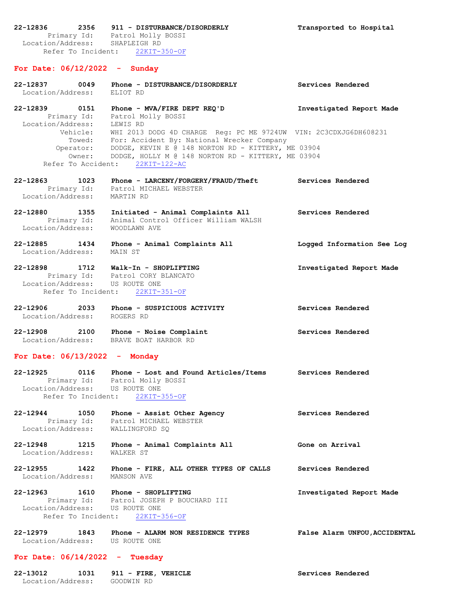**22-12836 2356 911 - DISTURBANCE/DISORDERLY Transported to Hospital** Primary Id: Patrol Molly BOSSI Location/Address: SHAPLEIGH RD Refer To Incident: 22KIT-350-OF

## **For Date: 06/12/2022 - Sunday**

- **22-12837 0049 Phone - DISTURBANCE/DISORDERLY Services Rendered** Location/Address: ELIOT RD
- **22-12839 0151 Phone - MVA/FIRE DEPT REQ'D Investigated Report Made** Primary Id: Patrol Molly BOSSI Location/Address: LEWIS RD Vehicle: WHI 2013 DODG 4D CHARGE Reg: PC ME 9724UW VIN: 2C3CDXJG6DH608231 Towed: For: Accident By: National Wrecker Company Operator: DODGE, KEVIN E @ 148 NORTON RD - KITTERY, ME 03904 Owner: DODGE, HOLLY M @ 148 NORTON RD - KITTERY, ME 03904 Refer To Accident: 22KIT-122-AC
- **22-12863 1023 Phone - LARCENY/FORGERY/FRAUD/Theft Services Rendered** Primary Id: Patrol MICHAEL WEBSTER Location/Address: MARTIN RD
- **22-12880 1355 Initiated - Animal Complaints All Services Rendered** Primary Id: Animal Control Officer William WALSH Location/Address: WOODLAWN AVE
- **22-12885 1434 Phone - Animal Complaints All Logged Information See Log** Location/Address: MAIN ST
- **22-12898 1712 Walk-In - SHOPLIFTING Investigated Report Made** Primary Id: Patrol CORY BLANCATO Location/Address: US ROUTE ONE Refer To Incident: 22KIT-351-OF
- **22-12906 2033 Phone - SUSPICIOUS ACTIVITY Services Rendered** Location/Address: ROGERS RD
- **22-12908 2100 Phone - Noise Complaint Services Rendered** Location/Address: BRAVE BOAT HARBOR RD

## **For Date: 06/13/2022 - Monday**

- **22-12925 0116 Phone - Lost and Found Articles/Items Services Rendered** Primary Id: Patrol Molly BOSSI Location/Address: US ROUTE ONE Refer To Incident: 22KIT-355-OF
- **22-12944 1050 Phone - Assist Other Agency Services Rendered** Primary Id: Patrol MICHAEL WEBSTER Location/Address: WALLINGFORD SQ

**22-12948 1215 Phone - Animal Complaints All Gone on Arrival** Location/Address: WALKER ST

**22-12955 1422 Phone - FIRE, ALL OTHER TYPES OF CALLS Services Rendered** Location/Address: MANSON AVE

**22-12963 1610 Phone - SHOPLIFTING Investigated Report Made** Primary Id: Patrol JOSEPH P BOUCHARD III Location/Address: US ROUTE ONE Refer To Incident: 22KIT-356-OF

**22-12979 1843 Phone - ALARM NON RESIDENCE TYPES False Alarm UNFOU,ACCIDENTAL** Location/Address: US ROUTE ONE

#### **For Date: 06/14/2022 - Tuesday**

| 22-13012          | 1031 |            | 911 - FIRE, VEHICLE |  |
|-------------------|------|------------|---------------------|--|
| Location/Address: |      | GOODWIN RD |                     |  |

**22-13012 1031 911 - FIRE, VEHICLE Services Rendered**